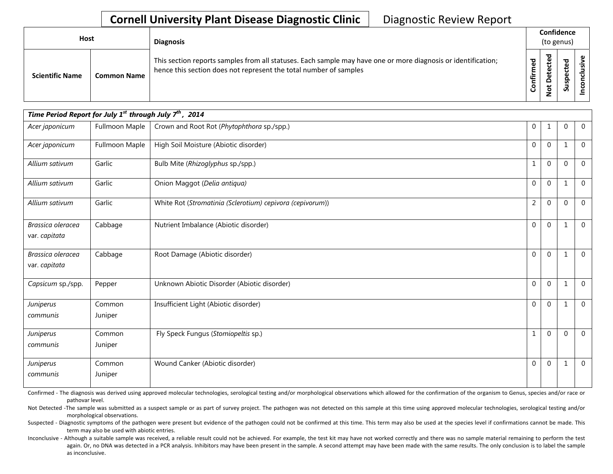| Host                   |                    | <b>Diagnosis</b>                                                                                                                                                                   |               |   | Confidence<br>(to genus) |  |
|------------------------|--------------------|------------------------------------------------------------------------------------------------------------------------------------------------------------------------------------|---------------|---|--------------------------|--|
| <b>Scientific Name</b> | <b>Common Name</b> | This section reports samples from all statuses. Each sample may have one or more diagnosis or identification;<br>hence this section does not represent the total number of samples | med<br>Confir | ਠ | P<br>요<br>ഄഁ             |  |

| Time Period Report for July 1 <sup>st</sup> through July $7^{\text{th}}$ , 2014 |                   |                                                           |                |              |             |              |  |  |  |
|---------------------------------------------------------------------------------|-------------------|-----------------------------------------------------------|----------------|--------------|-------------|--------------|--|--|--|
| Acer japonicum                                                                  | Fullmoon Maple    | Crown and Root Rot (Phytophthora sp./spp.)                | 0              | 1            | $\mathbf 0$ | $\mathbf{0}$ |  |  |  |
| Acer japonicum                                                                  | Fullmoon Maple    | High Soil Moisture (Abiotic disorder)                     | $\overline{0}$ | $\mathbf{0}$ | 1           | $\Omega$     |  |  |  |
| Allium sativum                                                                  | Garlic            | Bulb Mite (Rhizoglyphus sp./spp.)                         | 1              | 0            | $\Omega$    | $\Omega$     |  |  |  |
| Allium sativum                                                                  | Garlic            | Onion Maggot (Delia antiqua)                              | 0              | 0            | $\mathbf 1$ | $\mathbf 0$  |  |  |  |
| Allium sativum                                                                  | Garlic            | White Rot (Stromatinia (Sclerotium) cepivora (cepivorum)) | $\overline{2}$ | 0            | $\mathbf 0$ | $\Omega$     |  |  |  |
| Brassica oleracea<br>var. capitata                                              | Cabbage           | Nutrient Imbalance (Abiotic disorder)                     | 0              | $\mathbf{0}$ | 1           | $\Omega$     |  |  |  |
| Brassica oleracea<br>var. capitata                                              | Cabbage           | Root Damage (Abiotic disorder)                            | $\overline{0}$ | $\mathbf{0}$ | 1           | $\mathbf{0}$ |  |  |  |
| Capsicum sp./spp.                                                               | Pepper            | Unknown Abiotic Disorder (Abiotic disorder)               | 0              | 0            | $\mathbf 1$ | $\mathbf{0}$ |  |  |  |
| Juniperus<br>communis                                                           | Common<br>Juniper | Insufficient Light (Abiotic disorder)                     | $\overline{0}$ | $\mathbf{0}$ | 1           | $\mathbf 0$  |  |  |  |
| Juniperus<br>communis                                                           | Common<br>Juniper | Fly Speck Fungus (Stomiopeltis sp.)                       | $\mathbf{1}$   | $\mathbf 0$  | $\mathbf 0$ | $\mathbf{0}$ |  |  |  |
| Juniperus<br>communis                                                           | Common<br>Juniper | Wound Canker (Abiotic disorder)                           | 0              | $\mathbf{0}$ | 1           | $\mathbf 0$  |  |  |  |

Confirmed - The diagnosis was derived using approved molecular technologies, serological testing and/or morphological observations which allowed for the confirmation of the organism to Genus, species and/or race or pathovar level.

Not Detected -The sample was submitted as a suspect sample or as part of survey project. The pathogen was not detected on this sample at this time using approved molecular technologies, serological testing and/or morphological observations.

Suspected - Diagnostic symptoms of the pathogen were present but evidence of the pathogen could not be confirmed at this time. This term may also be used at the species level if confirmations cannot be made. This term may also be used with abiotic entries.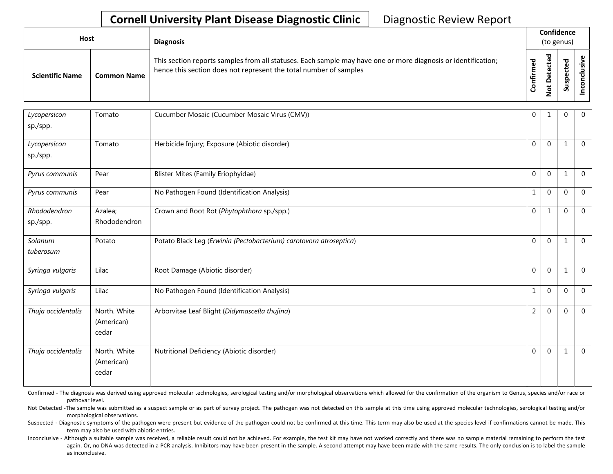| Host                   |                    | <b>Diagnosis</b>                                                                                                                                                                   |                        | Confidence<br>(to genus)                |                              |  |  |  |
|------------------------|--------------------|------------------------------------------------------------------------------------------------------------------------------------------------------------------------------------|------------------------|-----------------------------------------|------------------------------|--|--|--|
| <b>Scientific Name</b> | <b>Common Name</b> | This section reports samples from all statuses. Each sample may have one or more diagnosis or identification;<br>hence this section does not represent the total number of samples | ᅙ<br>Ě<br><b>Infir</b> | ᅙ<br>உ<br>ں<br>e,<br>Φ<br>$\frac{6}{2}$ | ਠ<br>ீ<br>ں<br>ဒ္ဓ<br>۔<br>Ū |  |  |  |

| Lycopersicon<br>sp./spp. | Tomato                              | Cucumber Mosaic (Cucumber Mosaic Virus (CMV))                      | $\mathbf{0}$     | 1              | $\mathbf 0$  | $\overline{0}$ |
|--------------------------|-------------------------------------|--------------------------------------------------------------------|------------------|----------------|--------------|----------------|
| Lycopersicon<br>sp./spp. | Tomato                              | Herbicide Injury; Exposure (Abiotic disorder)                      | $\overline{0}$   | $\mathbf 0$    | $\mathbf{1}$ | $\overline{0}$ |
| Pyrus communis           | Pear                                | Blister Mites (Family Eriophyidae)                                 | $\Omega$         | $\Omega$       | $\mathbf{1}$ | $\overline{0}$ |
| Pyrus communis           | Pear                                | No Pathogen Found (Identification Analysis)                        | 1                | $\overline{0}$ | $\mathbf 0$  | $\overline{0}$ |
| Rhododendron<br>sp./spp. | Azalea;<br>Rhododendron             | Crown and Root Rot (Phytophthora sp./spp.)                         | $\overline{0}$   | 1              | $\mathbf 0$  | $\overline{0}$ |
| Solanum<br>tuberosum     | Potato                              | Potato Black Leg (Erwinia (Pectobacterium) carotovora atroseptica) | $\boldsymbol{0}$ | $\mathbf 0$    | $\mathbf{1}$ | $\overline{0}$ |
| Syringa vulgaris         | Lilac                               | Root Damage (Abiotic disorder)                                     | $\mathbf 0$      | $\mathbf 0$    | $\mathbf{1}$ | $\overline{0}$ |
| Syringa vulgaris         | Lilac                               | No Pathogen Found (Identification Analysis)                        | $\mathbf 1$      | $\mathbf 0$    | $\Omega$     | $\overline{0}$ |
| Thuja occidentalis       | North. White<br>(American)<br>cedar | Arborvitae Leaf Blight (Didymascella thujina)                      | $\overline{2}$   | $\overline{0}$ | $\Omega$     | $\overline{0}$ |
| Thuja occidentalis       | North. White<br>(American)<br>cedar | Nutritional Deficiency (Abiotic disorder)                          | $\mathbf{0}$     | $\mathbf 0$    | $\mathbf{1}$ | $\overline{0}$ |

Confirmed - The diagnosis was derived using approved molecular technologies, serological testing and/or morphological observations which allowed for the confirmation of the organism to Genus, species and/or race or pathovar level.

Not Detected -The sample was submitted as a suspect sample or as part of survey project. The pathogen was not detected on this sample at this time using approved molecular technologies, serological testing and/or morphological observations.

Suspected - Diagnostic symptoms of the pathogen were present but evidence of the pathogen could not be confirmed at this time. This term may also be used at the species level if confirmations cannot be made. This term may also be used with abiotic entries.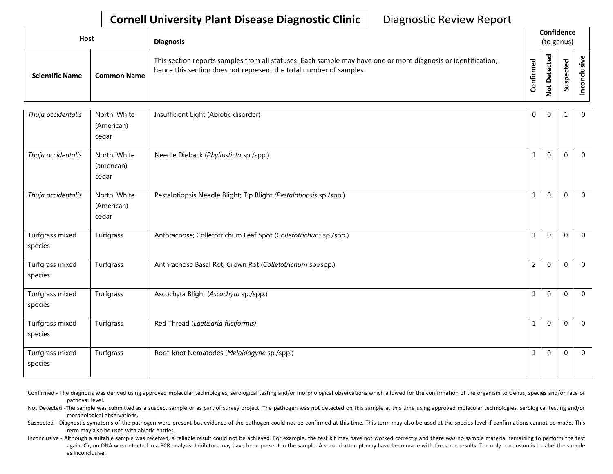| Host                   |                    | <b>Diagnosis</b>                                                                                                                                                                   |                  |                                      | Confidence<br>(to genus)   |  |
|------------------------|--------------------|------------------------------------------------------------------------------------------------------------------------------------------------------------------------------------|------------------|--------------------------------------|----------------------------|--|
| <b>Scientific Name</b> | <b>Common Name</b> | This section reports samples from all statuses. Each sample may have one or more diagnosis or identification;<br>hence this section does not represent the total number of samples | ಾ<br>onfirm<br>ں | ಕ<br>$\mathbf \omega$<br>ق<br>Φ<br>۰ | ਠ<br>Φ<br>ں<br>௨<br>s<br>w |  |

| Thuja occidentalis         | North. White<br>(American)<br>cedar | Insufficient Light (Abiotic disorder)                              | 0              | $\mathbf{0}$ |              | $\mathbf 0$    |
|----------------------------|-------------------------------------|--------------------------------------------------------------------|----------------|--------------|--------------|----------------|
| Thuja occidentalis         | North. White<br>(american)<br>cedar | Needle Dieback (Phyllosticta sp./spp.)                             | $\mathbf{1}$   | $\Omega$     | $\mathbf{0}$ | $\mathbf{0}$   |
| Thuja occidentalis         | North. White<br>(American)<br>cedar | Pestalotiopsis Needle Blight; Tip Blight (Pestalotiopsis sp./spp.) | 1              | $\mathbf{0}$ | $\mathbf 0$  | $\mathbf{0}$   |
| Turfgrass mixed<br>species | Turfgrass                           | Anthracnose; Colletotrichum Leaf Spot (Colletotrichum sp./spp.)    | $\mathbf{1}$   | $\mathbf 0$  | $\mathbf{0}$ | $\mathbf{0}$   |
| Turfgrass mixed<br>species | Turfgrass                           | Anthracnose Basal Rot; Crown Rot (Colletotrichum sp./spp.)         | $\overline{2}$ | $\mathbf 0$  | $\mathbf 0$  | $\overline{0}$ |
| Turfgrass mixed<br>species | Turfgrass                           | Ascochyta Blight (Ascochyta sp./spp.)                              | 1              | $\mathbf 0$  | $\mathbf 0$  | $\overline{0}$ |
| Turfgrass mixed<br>species | Turfgrass                           | Red Thread (Laetisaria fuciformis)                                 | $\mathbf{1}$   | $\Omega$     | $\mathbf 0$  | $\mathbf{0}$   |
| Turfgrass mixed<br>species | Turfgrass                           | Root-knot Nematodes (Meloidogyne sp./spp.)                         | $\mathbf{1}$   | $\mathbf 0$  | $\mathbf 0$  | $\mathbf 0$    |

Confirmed - The diagnosis was derived using approved molecular technologies, serological testing and/or morphological observations which allowed for the confirmation of the organism to Genus, species and/or race or pathovar level.

Not Detected -The sample was submitted as a suspect sample or as part of survey project. The pathogen was not detected on this sample at this time using approved molecular technologies, serological testing and/or morphological observations.

Suspected - Diagnostic symptoms of the pathogen were present but evidence of the pathogen could not be confirmed at this time. This term may also be used at the species level if confirmations cannot be made. This term may also be used with abiotic entries.